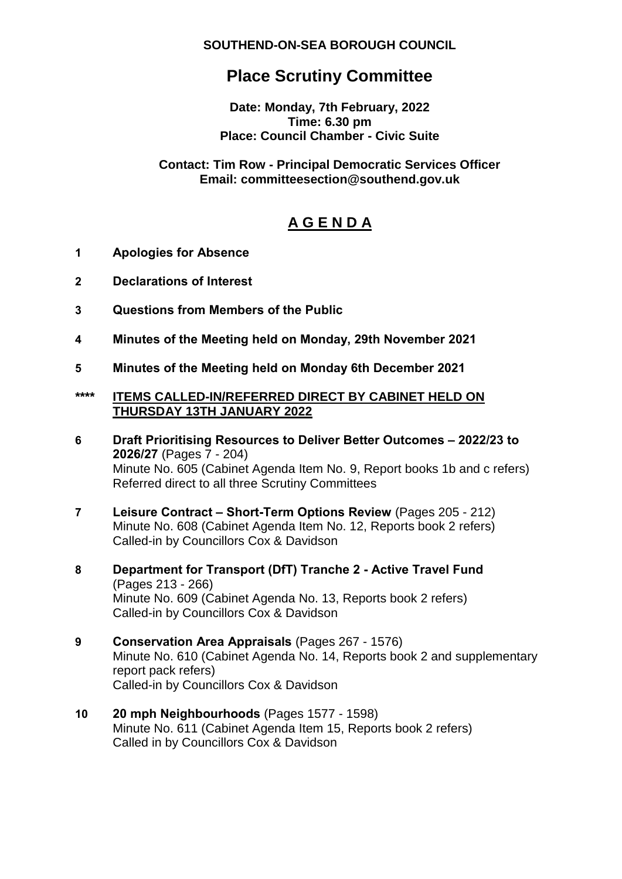**SOUTHEND-ON-SEA BOROUGH COUNCIL**

# **Place Scrutiny Committee**

**Date: Monday, 7th February, 2022 Time: 6.30 pm Place: Council Chamber - Civic Suite**

## **Contact: Tim Row - Principal Democratic Services Officer Email: committeesection@southend.gov.uk**

# **A G E N D A**

- **1 Apologies for Absence**
- **2 Declarations of Interest**
- **3 Questions from Members of the Public**
- **4 Minutes of the Meeting held on Monday, 29th November 2021**
- **5 Minutes of the Meeting held on Monday 6th December 2021**

## **\*\*\*\* ITEMS CALLED-IN/REFERRED DIRECT BY CABINET HELD ON THURSDAY 13TH JANUARY 2022**

- **6 Draft Prioritising Resources to Deliver Better Outcomes – 2022/23 to 2026/27** (Pages 7 - 204) Minute No. 605 (Cabinet Agenda Item No. 9, Report books 1b and c refers) Referred direct to all three Scrutiny Committees
- **7 Leisure Contract – Short-Term Options Review** (Pages 205 212) Minute No. 608 (Cabinet Agenda Item No. 12, Reports book 2 refers) Called-in by Councillors Cox & Davidson
- **8 Department for Transport (DfT) Tranche 2 - Active Travel Fund** (Pages 213 - 266) Minute No. 609 (Cabinet Agenda No. 13, Reports book 2 refers) Called-in by Councillors Cox & Davidson
- **9 Conservation Area Appraisals** (Pages 267 1576) Minute No. 610 (Cabinet Agenda No. 14, Reports book 2 and supplementary report pack refers) Called-in by Councillors Cox & Davidson
- **10 20 mph Neighbourhoods** (Pages 1577 1598) Minute No. 611 (Cabinet Agenda Item 15, Reports book 2 refers) Called in by Councillors Cox & Davidson